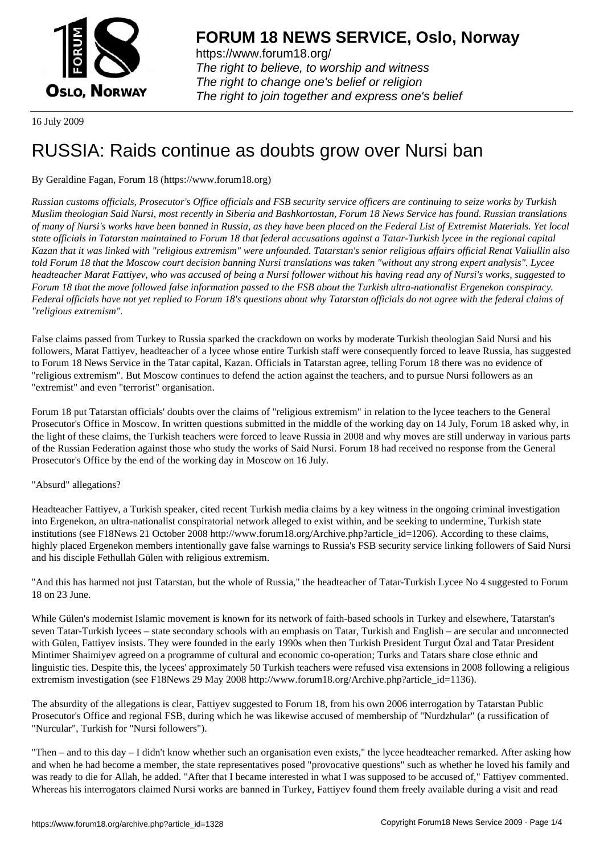

https://www.forum18.org/ The right to believe, to worship and witness The right to change one's belief or religion [The right to join together a](https://www.forum18.org/)nd express one's belief

16 July 2009

# [RUSSIA: Raids](https://www.forum18.org) continue as doubts grow over Nursi ban

## By Geraldine Fagan, Forum 18 (https://www.forum18.org)

*Russian customs officials, Prosecutor's Office officials and FSB security service officers are continuing to seize works by Turkish Muslim theologian Said Nursi, most recently in Siberia and Bashkortostan, Forum 18 News Service has found. Russian translations of many of Nursi's works have been banned in Russia, as they have been placed on the Federal List of Extremist Materials. Yet local state officials in Tatarstan maintained to Forum 18 that federal accusations against a Tatar-Turkish lycee in the regional capital Kazan that it was linked with "religious extremism" were unfounded. Tatarstan's senior religious affairs official Renat Valiullin also told Forum 18 that the Moscow court decision banning Nursi translations was taken "without any strong expert analysis". Lycee headteacher Marat Fattiyev, who was accused of being a Nursi follower without his having read any of Nursi's works, suggested to Forum 18 that the move followed false information passed to the FSB about the Turkish ultra-nationalist Ergenekon conspiracy. Federal officials have not yet replied to Forum 18's questions about why Tatarstan officials do not agree with the federal claims of "religious extremism".*

False claims passed from Turkey to Russia sparked the crackdown on works by moderate Turkish theologian Said Nursi and his followers, Marat Fattiyev, headteacher of a lycee whose entire Turkish staff were consequently forced to leave Russia, has suggested to Forum 18 News Service in the Tatar capital, Kazan. Officials in Tatarstan agree, telling Forum 18 there was no evidence of "religious extremism". But Moscow continues to defend the action against the teachers, and to pursue Nursi followers as an "extremist" and even "terrorist" organisation.

Forum 18 put Tatarstan officials' doubts over the claims of "religious extremism" in relation to the lycee teachers to the General Prosecutor's Office in Moscow. In written questions submitted in the middle of the working day on 14 July, Forum 18 asked why, in the light of these claims, the Turkish teachers were forced to leave Russia in 2008 and why moves are still underway in various parts of the Russian Federation against those who study the works of Said Nursi. Forum 18 had received no response from the General Prosecutor's Office by the end of the working day in Moscow on 16 July.

#### "Absurd" allegations?

Headteacher Fattiyev, a Turkish speaker, cited recent Turkish media claims by a key witness in the ongoing criminal investigation into Ergenekon, an ultra-nationalist conspiratorial network alleged to exist within, and be seeking to undermine, Turkish state institutions (see F18News 21 October 2008 http://www.forum18.org/Archive.php?article\_id=1206). According to these claims, highly placed Ergenekon members intentionally gave false warnings to Russia's FSB security service linking followers of Said Nursi and his disciple Fethullah Gülen with religious extremism.

"And this has harmed not just Tatarstan, but the whole of Russia," the headteacher of Tatar-Turkish Lycee No 4 suggested to Forum 18 on 23 June.

While Gülen's modernist Islamic movement is known for its network of faith-based schools in Turkey and elsewhere, Tatarstan's seven Tatar-Turkish lycees – state secondary schools with an emphasis on Tatar, Turkish and English – are secular and unconnected with Gülen, Fattiyev insists. They were founded in the early 1990s when then Turkish President Turgut Özal and Tatar President Mintimer Shaimiyev agreed on a programme of cultural and economic co-operation; Turks and Tatars share close ethnic and linguistic ties. Despite this, the lycees' approximately 50 Turkish teachers were refused visa extensions in 2008 following a religious extremism investigation (see F18News 29 May 2008 http://www.forum18.org/Archive.php?article\_id=1136).

The absurdity of the allegations is clear, Fattiyev suggested to Forum 18, from his own 2006 interrogation by Tatarstan Public Prosecutor's Office and regional FSB, during which he was likewise accused of membership of "Nurdzhular" (a russification of "Nurcular", Turkish for "Nursi followers").

"Then – and to this day – I didn't know whether such an organisation even exists," the lycee headteacher remarked. After asking how and when he had become a member, the state representatives posed "provocative questions" such as whether he loved his family and was ready to die for Allah, he added. "After that I became interested in what I was supposed to be accused of," Fattiyev commented. Whereas his interrogators claimed Nursi works are banned in Turkey, Fattiyev found them freely available during a visit and read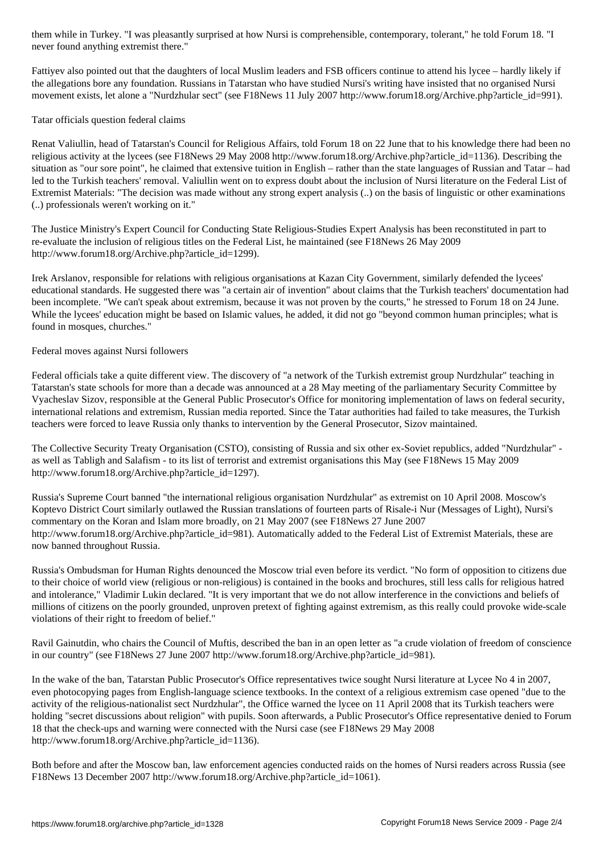never found anything extremist there."

Fattiyev also pointed out that the daughters of local Muslim leaders and FSB officers continue to attend his lycee – hardly likely if the allegations bore any foundation. Russians in Tatarstan who have studied Nursi's writing have insisted that no organised Nursi movement exists, let alone a "Nurdzhular sect" (see F18News 11 July 2007 http://www.forum18.org/Archive.php?article\_id=991).

### Tatar officials question federal claims

Renat Valiullin, head of Tatarstan's Council for Religious Affairs, told Forum 18 on 22 June that to his knowledge there had been no religious activity at the lycees (see F18News 29 May 2008 http://www.forum18.org/Archive.php?article\_id=1136). Describing the situation as "our sore point", he claimed that extensive tuition in English – rather than the state languages of Russian and Tatar – had led to the Turkish teachers' removal. Valiullin went on to express doubt about the inclusion of Nursi literature on the Federal List of Extremist Materials: "The decision was made without any strong expert analysis (..) on the basis of linguistic or other examinations (..) professionals weren't working on it."

The Justice Ministry's Expert Council for Conducting State Religious-Studies Expert Analysis has been reconstituted in part to re-evaluate the inclusion of religious titles on the Federal List, he maintained (see F18News 26 May 2009 http://www.forum18.org/Archive.php?article\_id=1299).

Irek Arslanov, responsible for relations with religious organisations at Kazan City Government, similarly defended the lycees' educational standards. He suggested there was "a certain air of invention" about claims that the Turkish teachers' documentation had been incomplete. "We can't speak about extremism, because it was not proven by the courts," he stressed to Forum 18 on 24 June. While the lycees' education might be based on Islamic values, he added, it did not go "beyond common human principles; what is found in mosques, churches."

#### Federal moves against Nursi followers

Federal officials take a quite different view. The discovery of "a network of the Turkish extremist group Nurdzhular" teaching in Tatarstan's state schools for more than a decade was announced at a 28 May meeting of the parliamentary Security Committee by Vyacheslav Sizov, responsible at the General Public Prosecutor's Office for monitoring implementation of laws on federal security, international relations and extremism, Russian media reported. Since the Tatar authorities had failed to take measures, the Turkish teachers were forced to leave Russia only thanks to intervention by the General Prosecutor, Sizov maintained.

The Collective Security Treaty Organisation (CSTO), consisting of Russia and six other ex-Soviet republics, added "Nurdzhular" as well as Tabligh and Salafism - to its list of terrorist and extremist organisations this May (see F18News 15 May 2009 http://www.forum18.org/Archive.php?article\_id=1297).

Russia's Supreme Court banned "the international religious organisation Nurdzhular" as extremist on 10 April 2008. Moscow's Koptevo District Court similarly outlawed the Russian translations of fourteen parts of Risale-i Nur (Messages of Light), Nursi's commentary on the Koran and Islam more broadly, on 21 May 2007 (see F18News 27 June 2007 http://www.forum18.org/Archive.php?article\_id=981). Automatically added to the Federal List of Extremist Materials, these are now banned throughout Russia.

Russia's Ombudsman for Human Rights denounced the Moscow trial even before its verdict. "No form of opposition to citizens due to their choice of world view (religious or non-religious) is contained in the books and brochures, still less calls for religious hatred and intolerance," Vladimir Lukin declared. "It is very important that we do not allow interference in the convictions and beliefs of millions of citizens on the poorly grounded, unproven pretext of fighting against extremism, as this really could provoke wide-scale violations of their right to freedom of belief."

Ravil Gainutdin, who chairs the Council of Muftis, described the ban in an open letter as "a crude violation of freedom of conscience in our country" (see F18News 27 June 2007 http://www.forum18.org/Archive.php?article\_id=981).

In the wake of the ban, Tatarstan Public Prosecutor's Office representatives twice sought Nursi literature at Lycee No 4 in 2007, even photocopying pages from English-language science textbooks. In the context of a religious extremism case opened "due to the activity of the religious-nationalist sect Nurdzhular", the Office warned the lycee on 11 April 2008 that its Turkish teachers were holding "secret discussions about religion" with pupils. Soon afterwards, a Public Prosecutor's Office representative denied to Forum 18 that the check-ups and warning were connected with the Nursi case (see F18News 29 May 2008 http://www.forum18.org/Archive.php?article\_id=1136).

Both before and after the Moscow ban, law enforcement agencies conducted raids on the homes of Nursi readers across Russia (see F18News 13 December 2007 http://www.forum18.org/Archive.php?article\_id=1061).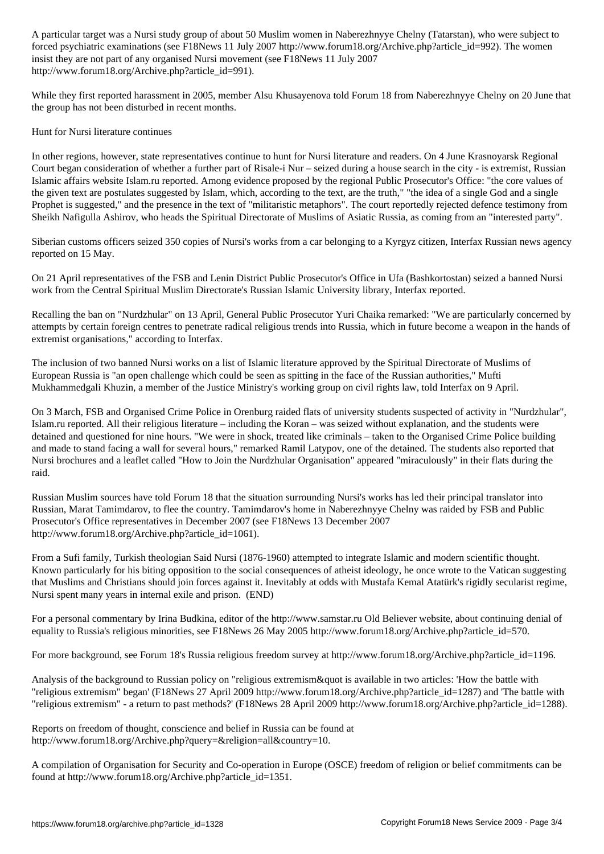forced psychologically examined psychologically  $\omega$  in the women  $\omega$  are women  $\omega$ insist they are not part of any organised Nursi movement (see F18News 11 July 2007 http://www.forum18.org/Archive.php?article\_id=991).

While they first reported harassment in 2005, member Alsu Khusayenova told Forum 18 from Naberezhnyye Chelny on 20 June that the group has not been disturbed in recent months.

Hunt for Nursi literature continues

In other regions, however, state representatives continue to hunt for Nursi literature and readers. On 4 June Krasnoyarsk Regional Court began consideration of whether a further part of Risale-i Nur – seized during a house search in the city - is extremist, Russian Islamic affairs website Islam.ru reported. Among evidence proposed by the regional Public Prosecutor's Office: "the core values of the given text are postulates suggested by Islam, which, according to the text, are the truth," "the idea of a single God and a single Prophet is suggested," and the presence in the text of "militaristic metaphors". The court reportedly rejected defence testimony from Sheikh Nafigulla Ashirov, who heads the Spiritual Directorate of Muslims of Asiatic Russia, as coming from an "interested party".

Siberian customs officers seized 350 copies of Nursi's works from a car belonging to a Kyrgyz citizen, Interfax Russian news agency reported on 15 May.

On 21 April representatives of the FSB and Lenin District Public Prosecutor's Office in Ufa (Bashkortostan) seized a banned Nursi work from the Central Spiritual Muslim Directorate's Russian Islamic University library, Interfax reported.

Recalling the ban on "Nurdzhular" on 13 April, General Public Prosecutor Yuri Chaika remarked: "We are particularly concerned by attempts by certain foreign centres to penetrate radical religious trends into Russia, which in future become a weapon in the hands of extremist organisations," according to Interfax.

The inclusion of two banned Nursi works on a list of Islamic literature approved by the Spiritual Directorate of Muslims of European Russia is "an open challenge which could be seen as spitting in the face of the Russian authorities," Mufti Mukhammedgali Khuzin, a member of the Justice Ministry's working group on civil rights law, told Interfax on 9 April.

On 3 March, FSB and Organised Crime Police in Orenburg raided flats of university students suspected of activity in "Nurdzhular", Islam.ru reported. All their religious literature – including the Koran – was seized without explanation, and the students were detained and questioned for nine hours. "We were in shock, treated like criminals – taken to the Organised Crime Police building and made to stand facing a wall for several hours," remarked Ramil Latypov, one of the detained. The students also reported that Nursi brochures and a leaflet called "How to Join the Nurdzhular Organisation" appeared "miraculously" in their flats during the raid.

Russian Muslim sources have told Forum 18 that the situation surrounding Nursi's works has led their principal translator into Russian, Marat Tamimdarov, to flee the country. Tamimdarov's home in Naberezhnyye Chelny was raided by FSB and Public Prosecutor's Office representatives in December 2007 (see F18News 13 December 2007 http://www.forum18.org/Archive.php?article\_id=1061).

From a Sufi family, Turkish theologian Said Nursi (1876-1960) attempted to integrate Islamic and modern scientific thought. Known particularly for his biting opposition to the social consequences of atheist ideology, he once wrote to the Vatican suggesting that Muslims and Christians should join forces against it. Inevitably at odds with Mustafa Kemal Atatürk's rigidly secularist regime, Nursi spent many years in internal exile and prison. (END)

For a personal commentary by Irina Budkina, editor of the http://www.samstar.ru Old Believer website, about continuing denial of equality to Russia's religious minorities, see F18News 26 May 2005 http://www.forum18.org/Archive.php?article\_id=570.

For more background, see Forum 18's Russia religious freedom survey at http://www.forum18.org/Archive.php?article\_id=1196.

Analysis of the background to Russian policy on "religious extremism & quot is available in two articles: 'How the battle with "religious extremism" began' (F18News 27 April 2009 http://www.forum18.org/Archive.php?article\_id=1287) and 'The battle with "religious extremism" - a return to past methods?' (F18News 28 April 2009 http://www.forum18.org/Archive.php?article\_id=1288).

Reports on freedom of thought, conscience and belief in Russia can be found at http://www.forum18.org/Archive.php?query=&religion=all&country=10.

A compilation of Organisation for Security and Co-operation in Europe (OSCE) freedom of religion or belief commitments can be found at http://www.forum18.org/Archive.php?article\_id=1351.